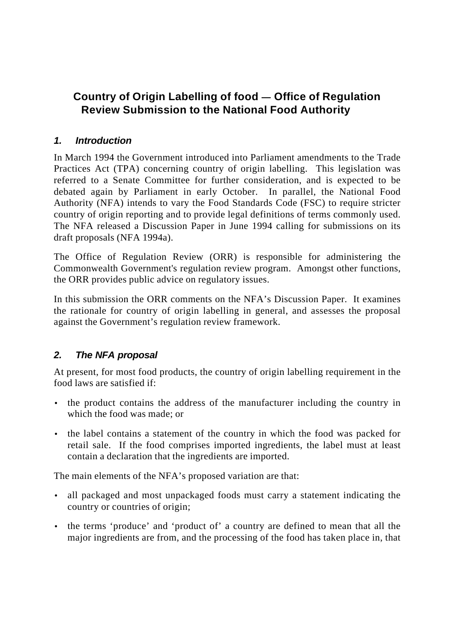# **Country of Origin Labelling of food — Office of Regulation Review Submission to the National Food Authority**

## *1. Introduction*

In March 1994 the Government introduced into Parliament amendments to the Trade Practices Act (TPA) concerning country of origin labelling. This legislation was referred to a Senate Committee for further consideration, and is expected to be debated again by Parliament in early October. In parallel, the National Food Authority (NFA) intends to vary the Food Standards Code (FSC) to require stricter country of origin reporting and to provide legal definitions of terms commonly used. The NFA released a Discussion Paper in June 1994 calling for submissions on its draft proposals (NFA 1994a).

The Office of Regulation Review (ORR) is responsible for administering the Commonwealth Government's regulation review program. Amongst other functions, the ORR provides public advice on regulatory issues.

In this submission the ORR comments on the NFA's Discussion Paper. It examines the rationale for country of origin labelling in general, and assesses the proposal against the Government's regulation review framework.

# *2. The NFA proposal*

At present, for most food products, the country of origin labelling requirement in the food laws are satisfied if:

- the product contains the address of the manufacturer including the country in which the food was made; or
- the label contains a statement of the country in which the food was packed for retail sale. If the food comprises imported ingredients, the label must at least contain a declaration that the ingredients are imported.

The main elements of the NFA's proposed variation are that:

- all packaged and most unpackaged foods must carry a statement indicating the country or countries of origin;
- the terms 'produce' and 'product of' a country are defined to mean that all the major ingredients are from, and the processing of the food has taken place in, that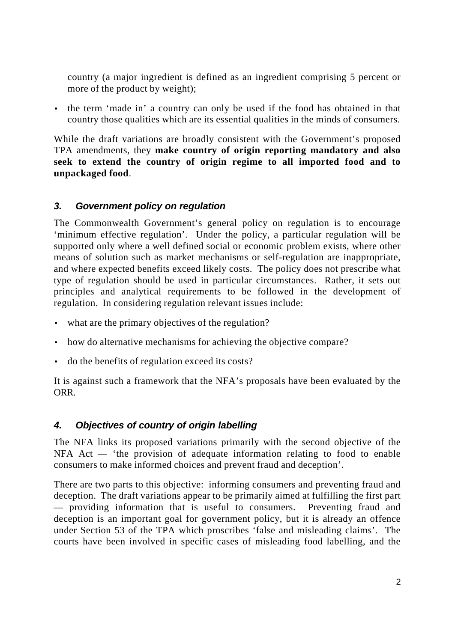country (a major ingredient is defined as an ingredient comprising 5 percent or more of the product by weight);

• the term 'made in' a country can only be used if the food has obtained in that country those qualities which are its essential qualities in the minds of consumers.

While the draft variations are broadly consistent with the Government's proposed TPA amendments, they **make country of origin reporting mandatory and also seek to extend the country of origin regime to all imported food and to unpackaged food**.

# *3. Government policy on regulation*

The Commonwealth Government's general policy on regulation is to encourage 'minimum effective regulation'. Under the policy, a particular regulation will be supported only where a well defined social or economic problem exists, where other means of solution such as market mechanisms or self-regulation are inappropriate, and where expected benefits exceed likely costs. The policy does not prescribe what type of regulation should be used in particular circumstances. Rather, it sets out principles and analytical requirements to be followed in the development of regulation. In considering regulation relevant issues include:

- what are the primary objectives of the regulation?
- how do alternative mechanisms for achieving the objective compare?
- do the benefits of regulation exceed its costs?

It is against such a framework that the NFA's proposals have been evaluated by the ORR.

### *4. Objectives of country of origin labelling*

The NFA links its proposed variations primarily with the second objective of the NFA Act — 'the provision of adequate information relating to food to enable consumers to make informed choices and prevent fraud and deception'.

There are two parts to this objective: informing consumers and preventing fraud and deception. The draft variations appear to be primarily aimed at fulfilling the first part — providing information that is useful to consumers. Preventing fraud and deception is an important goal for government policy, but it is already an offence under Section 53 of the TPA which proscribes 'false and misleading claims'. The courts have been involved in specific cases of misleading food labelling, and the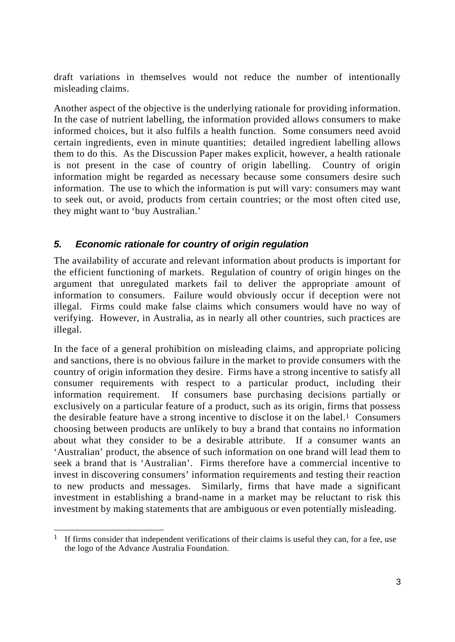draft variations in themselves would not reduce the number of intentionally misleading claims.

Another aspect of the objective is the underlying rationale for providing information. In the case of nutrient labelling, the information provided allows consumers to make informed choices, but it also fulfils a health function. Some consumers need avoid certain ingredients, even in minute quantities; detailed ingredient labelling allows them to do this. As the Discussion Paper makes explicit, however, a health rationale is not present in the case of country of origin labelling. Country of origin information might be regarded as necessary because some consumers desire such information. The use to which the information is put will vary: consumers may want to seek out, or avoid, products from certain countries; or the most often cited use, they might want to 'buy Australian.'

### *5. Economic rationale for country of origin regulation*

The availability of accurate and relevant information about products is important for the efficient functioning of markets. Regulation of country of origin hinges on the argument that unregulated markets fail to deliver the appropriate amount of information to consumers. Failure would obviously occur if deception were not illegal. Firms could make false claims which consumers would have no way of verifying. However, in Australia, as in nearly all other countries, such practices are illegal.

In the face of a general prohibition on misleading claims, and appropriate policing and sanctions, there is no obvious failure in the market to provide consumers with the country of origin information they desire. Firms have a strong incentive to satisfy all consumer requirements with respect to a particular product, including their information requirement. If consumers base purchasing decisions partially or exclusively on a particular feature of a product, such as its origin, firms that possess the desirable feature have a strong incentive to disclose it on the label.<sup>1</sup> Consumers choosing between products are unlikely to buy a brand that contains no information about what they consider to be a desirable attribute. If a consumer wants an 'Australian' product, the absence of such information on one brand will lead them to seek a brand that is 'Australian'. Firms therefore have a commercial incentive to invest in discovering consumers' information requirements and testing their reaction to new products and messages. Similarly, firms that have made a significant investment in establishing a brand-name in a market may be reluctant to risk this investment by making statements that are ambiguous or even potentially misleading.

 $\overline{a}$ 1 If firms consider that independent verifications of their claims is useful they can, for a fee, use the logo of the Advance Australia Foundation.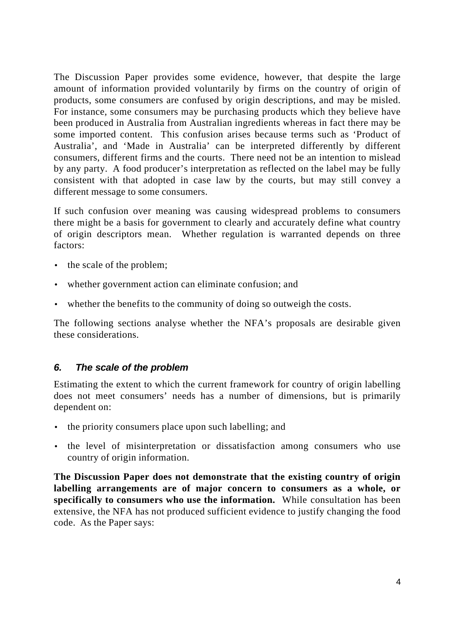The Discussion Paper provides some evidence, however, that despite the large amount of information provided voluntarily by firms on the country of origin of products, some consumers are confused by origin descriptions, and may be misled. For instance, some consumers may be purchasing products which they believe have been produced in Australia from Australian ingredients whereas in fact there may be some imported content. This confusion arises because terms such as 'Product of Australia', and 'Made in Australia' can be interpreted differently by different consumers, different firms and the courts. There need not be an intention to mislead by any party. A food producer's interpretation as reflected on the label may be fully consistent with that adopted in case law by the courts, but may still convey a different message to some consumers.

If such confusion over meaning was causing widespread problems to consumers there might be a basis for government to clearly and accurately define what country of origin descriptors mean. Whether regulation is warranted depends on three factors:

- the scale of the problem;
- whether government action can eliminate confusion; and
- whether the benefits to the community of doing so outweigh the costs.

The following sections analyse whether the NFA's proposals are desirable given these considerations.

### *6. The scale of the problem*

Estimating the extent to which the current framework for country of origin labelling does not meet consumers' needs has a number of dimensions, but is primarily dependent on:

- the priority consumers place upon such labelling; and
- the level of misinterpretation or dissatisfaction among consumers who use country of origin information.

**The Discussion Paper does not demonstrate that the existing country of origin labelling arrangements are of major concern to consumers as a whole, or specifically to consumers who use the information.** While consultation has been extensive, the NFA has not produced sufficient evidence to justify changing the food code. As the Paper says: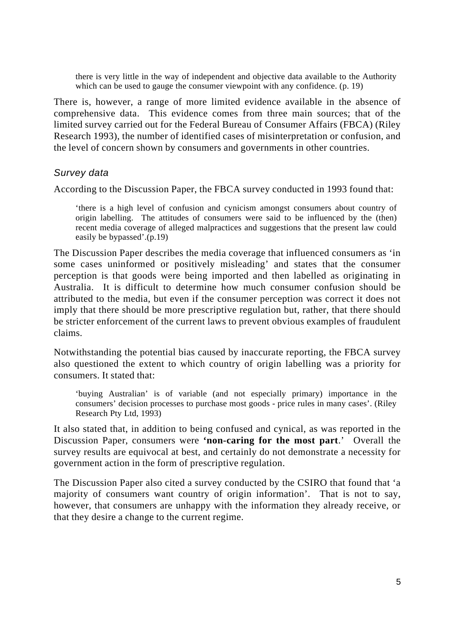there is very little in the way of independent and objective data available to the Authority which can be used to gauge the consumer viewpoint with any confidence.  $(p. 19)$ 

There is, however, a range of more limited evidence available in the absence of comprehensive data. This evidence comes from three main sources; that of the limited survey carried out for the Federal Bureau of Consumer Affairs (FBCA) (Riley Research 1993), the number of identified cases of misinterpretation or confusion, and the level of concern shown by consumers and governments in other countries.

#### *Survey data*

According to the Discussion Paper, the FBCA survey conducted in 1993 found that:

'there is a high level of confusion and cynicism amongst consumers about country of origin labelling. The attitudes of consumers were said to be influenced by the (then) recent media coverage of alleged malpractices and suggestions that the present law could easily be bypassed'.(p.19)

The Discussion Paper describes the media coverage that influenced consumers as 'in some cases uninformed or positively misleading' and states that the consumer perception is that goods were being imported and then labelled as originating in Australia. It is difficult to determine how much consumer confusion should be attributed to the media, but even if the consumer perception was correct it does not imply that there should be more prescriptive regulation but, rather, that there should be stricter enforcement of the current laws to prevent obvious examples of fraudulent claims.

Notwithstanding the potential bias caused by inaccurate reporting, the FBCA survey also questioned the extent to which country of origin labelling was a priority for consumers. It stated that:

'buying Australian' is of variable (and not especially primary) importance in the consumers' decision processes to purchase most goods - price rules in many cases'. (Riley Research Pty Ltd, 1993)

It also stated that, in addition to being confused and cynical, as was reported in the Discussion Paper, consumers were **'non-caring for the most part**.' Overall the survey results are equivocal at best, and certainly do not demonstrate a necessity for government action in the form of prescriptive regulation.

The Discussion Paper also cited a survey conducted by the CSIRO that found that 'a majority of consumers want country of origin information'. That is not to say, however, that consumers are unhappy with the information they already receive, or that they desire a change to the current regime.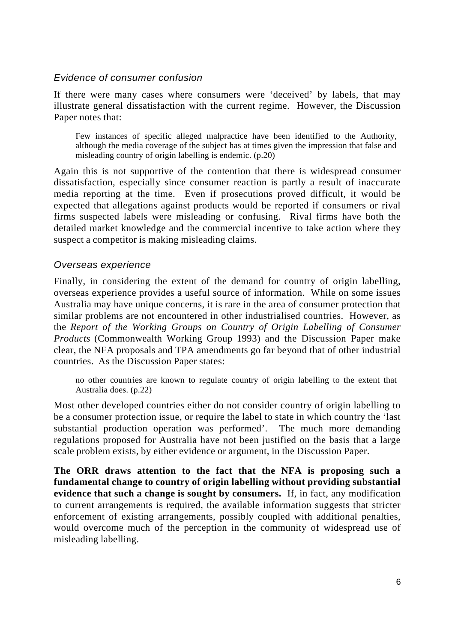#### *Evidence of consumer confusion*

If there were many cases where consumers were 'deceived' by labels, that may illustrate general dissatisfaction with the current regime. However, the Discussion Paper notes that:

Few instances of specific alleged malpractice have been identified to the Authority, although the media coverage of the subject has at times given the impression that false and misleading country of origin labelling is endemic. (p.20)

Again this is not supportive of the contention that there is widespread consumer dissatisfaction, especially since consumer reaction is partly a result of inaccurate media reporting at the time. Even if prosecutions proved difficult, it would be expected that allegations against products would be reported if consumers or rival firms suspected labels were misleading or confusing. Rival firms have both the detailed market knowledge and the commercial incentive to take action where they suspect a competitor is making misleading claims.

#### *Overseas experience*

Finally, in considering the extent of the demand for country of origin labelling, overseas experience provides a useful source of information. While on some issues Australia may have unique concerns, it is rare in the area of consumer protection that similar problems are not encountered in other industrialised countries. However, as the *Report of the Working Groups on Country of Origin Labelling of Consumer Products* (Commonwealth Working Group 1993) and the Discussion Paper make clear, the NFA proposals and TPA amendments go far beyond that of other industrial countries. As the Discussion Paper states:

no other countries are known to regulate country of origin labelling to the extent that Australia does. (p.22)

Most other developed countries either do not consider country of origin labelling to be a consumer protection issue, or require the label to state in which country the 'last substantial production operation was performed'. The much more demanding regulations proposed for Australia have not been justified on the basis that a large scale problem exists, by either evidence or argument, in the Discussion Paper.

**The ORR draws attention to the fact that the NFA is proposing such a fundamental change to country of origin labelling without providing substantial evidence that such a change is sought by consumers.** If, in fact, any modification to current arrangements is required, the available information suggests that stricter enforcement of existing arrangements, possibly coupled with additional penalties, would overcome much of the perception in the community of widespread use of misleading labelling.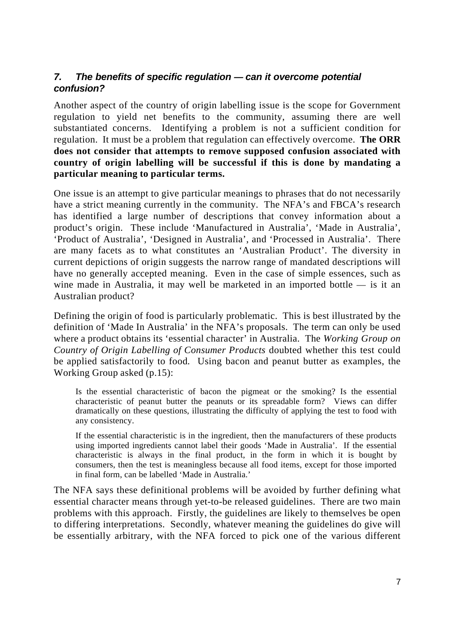# *7. The benefits of specific regulation — can it overcome potential confusion?*

Another aspect of the country of origin labelling issue is the scope for Government regulation to yield net benefits to the community, assuming there are well substantiated concerns. Identifying a problem is not a sufficient condition for regulation. It must be a problem that regulation can effectively overcome. **The ORR does not consider that attempts to remove supposed confusion associated with country of origin labelling will be successful if this is done by mandating a particular meaning to particular terms.**

One issue is an attempt to give particular meanings to phrases that do not necessarily have a strict meaning currently in the community. The NFA's and FBCA's research has identified a large number of descriptions that convey information about a product's origin. These include 'Manufactured in Australia', 'Made in Australia', 'Product of Australia', 'Designed in Australia', and 'Processed in Australia'. There are many facets as to what constitutes an 'Australian Product'. The diversity in current depictions of origin suggests the narrow range of mandated descriptions will have no generally accepted meaning. Even in the case of simple essences, such as wine made in Australia, it may well be marketed in an imported bottle — is it an Australian product?

Defining the origin of food is particularly problematic. This is best illustrated by the definition of 'Made In Australia' in the NFA's proposals. The term can only be used where a product obtains its 'essential character' in Australia.The *Working Group on Country of Origin Labelling of Consumer Products* doubted whether this test could be applied satisfactorily to food*.* Using bacon and peanut butter as examples, the Working Group asked (p.15):

Is the essential characteristic of bacon the pigmeat or the smoking? Is the essential characteristic of peanut butter the peanuts or its spreadable form? Views can differ dramatically on these questions, illustrating the difficulty of applying the test to food with any consistency.

If the essential characteristic is in the ingredient, then the manufacturers of these products using imported ingredients cannot label their goods 'Made in Australia'. If the essential characteristic is always in the final product, in the form in which it is bought by consumers, then the test is meaningless because all food items, except for those imported in final form, can be labelled 'Made in Australia.'

The NFA says these definitional problems will be avoided by further defining what essential character means through yet-to-be released guidelines. There are two main problems with this approach. Firstly, the guidelines are likely to themselves be open to differing interpretations. Secondly, whatever meaning the guidelines do give will be essentially arbitrary, with the NFA forced to pick one of the various different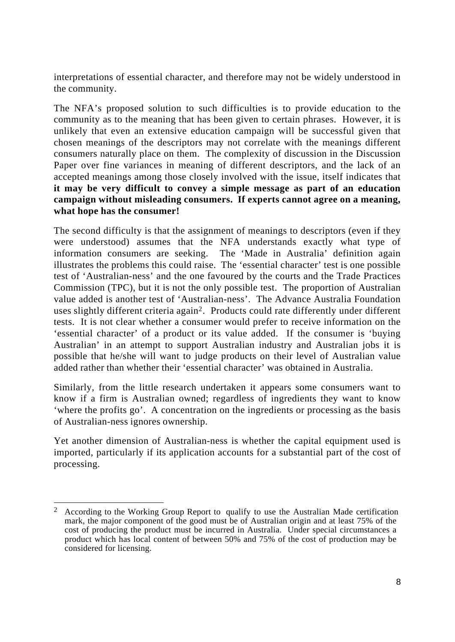interpretations of essential character, and therefore may not be widely understood in the community.

The NFA's proposed solution to such difficulties is to provide education to the community as to the meaning that has been given to certain phrases. However, it is unlikely that even an extensive education campaign will be successful given that chosen meanings of the descriptors may not correlate with the meanings different consumers naturally place on them. The complexity of discussion in the Discussion Paper over fine variances in meaning of different descriptors, and the lack of an accepted meanings among those closely involved with the issue, itself indicates that **it may be very difficult to convey a simple message as part of an education campaign without misleading consumers. If experts cannot agree on a meaning, what hope has the consumer!**

The second difficulty is that the assignment of meanings to descriptors (even if they were understood) assumes that the NFA understands exactly what type of information consumers are seeking. The 'Made in Australia' definition again illustrates the problems this could raise. The 'essential character' test is one possible test of 'Australian-ness' and the one favoured by the courts and the Trade Practices Commission (TPC), but it is not the only possible test. The proportion of Australian value added is another test of 'Australian-ness'. The Advance Australia Foundation uses slightly different criteria again2. Products could rate differently under different tests. It is not clear whether a consumer would prefer to receive information on the 'essential character' of a product or its value added. If the consumer is 'buying Australian' in an attempt to support Australian industry and Australian jobs it is possible that he/she will want to judge products on their level of Australian value added rather than whether their 'essential character' was obtained in Australia.

Similarly, from the little research undertaken it appears some consumers want to know if a firm is Australian owned; regardless of ingredients they want to know 'where the profits go'. A concentration on the ingredients or processing as the basis of Australian-ness ignores ownership.

Yet another dimension of Australian-ness is whether the capital equipment used is imported, particularly if its application accounts for a substantial part of the cost of processing.

 $\overline{a}$ 2 According to the Working Group Report to qualify to use the Australian Made certification mark, the major component of the good must be of Australian origin and at least 75% of the cost of producing the product must be incurred in Australia. Under special circumstances a product which has local content of between 50% and 75% of the cost of production may be considered for licensing.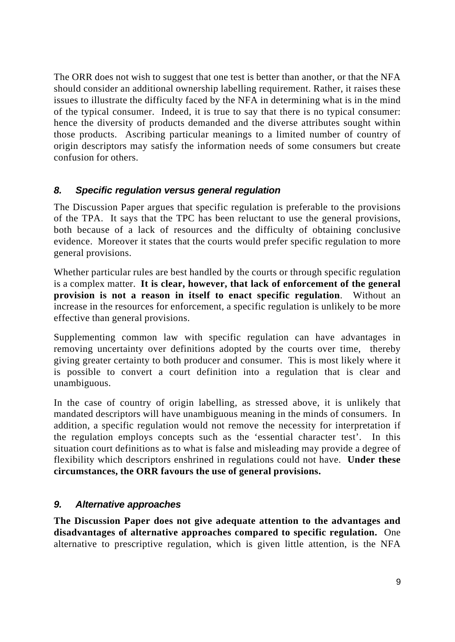The ORR does not wish to suggest that one test is better than another, or that the NFA should consider an additional ownership labelling requirement. Rather, it raises these issues to illustrate the difficulty faced by the NFA in determining what is in the mind of the typical consumer. Indeed, it is true to say that there is no typical consumer: hence the diversity of products demanded and the diverse attributes sought within those products. Ascribing particular meanings to a limited number of country of origin descriptors may satisfy the information needs of some consumers but create confusion for others.

### *8. Specific regulation versus general regulation*

The Discussion Paper argues that specific regulation is preferable to the provisions of the TPA. It says that the TPC has been reluctant to use the general provisions, both because of a lack of resources and the difficulty of obtaining conclusive evidence. Moreover it states that the courts would prefer specific regulation to more general provisions.

Whether particular rules are best handled by the courts or through specific regulation is a complex matter. **It is clear, however, that lack of enforcement of the general provision is not a reason in itself to enact specific regulation**. Without an increase in the resources for enforcement, a specific regulation is unlikely to be more effective than general provisions.

Supplementing common law with specific regulation can have advantages in removing uncertainty over definitions adopted by the courts over time, thereby giving greater certainty to both producer and consumer. This is most likely where it is possible to convert a court definition into a regulation that is clear and unambiguous.

In the case of country of origin labelling, as stressed above, it is unlikely that mandated descriptors will have unambiguous meaning in the minds of consumers. In addition, a specific regulation would not remove the necessity for interpretation if the regulation employs concepts such as the 'essential character test'. In this situation court definitions as to what is false and misleading may provide a degree of flexibility which descriptors enshrined in regulations could not have. **Under these circumstances, the ORR favours the use of general provisions.**

# *9. Alternative approaches*

**The Discussion Paper does not give adequate attention to the advantages and disadvantages of alternative approaches compared to specific regulation.** One alternative to prescriptive regulation, which is given little attention, is the NFA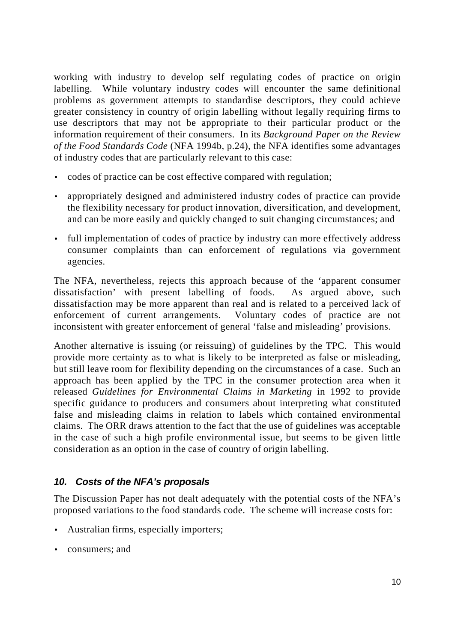working with industry to develop self regulating codes of practice on origin labelling. While voluntary industry codes will encounter the same definitional problems as government attempts to standardise descriptors, they could achieve greater consistency in country of origin labelling without legally requiring firms to use descriptors that may not be appropriate to their particular product or the information requirement of their consumers. In its *Background Paper on the Review of the Food Standards Code* (NFA 1994b, p.24), the NFA identifies some advantages of industry codes that are particularly relevant to this case:

- codes of practice can be cost effective compared with regulation;
- appropriately designed and administered industry codes of practice can provide the flexibility necessary for product innovation, diversification, and development, and can be more easily and quickly changed to suit changing circumstances; and
- full implementation of codes of practice by industry can more effectively address consumer complaints than can enforcement of regulations via government agencies.

The NFA, nevertheless, rejects this approach because of the 'apparent consumer dissatisfaction' with present labelling of foods. As argued above, such dissatisfaction may be more apparent than real and is related to a perceived lack of enforcement of current arrangements. Voluntary codes of practice are not inconsistent with greater enforcement of general 'false and misleading' provisions.

Another alternative is issuing (or reissuing) of guidelines by the TPC. This would provide more certainty as to what is likely to be interpreted as false or misleading, but still leave room for flexibility depending on the circumstances of a case. Such an approach has been applied by the TPC in the consumer protection area when it released *Guidelines for Environmental Claims in Marketing* in 1992 to provide specific guidance to producers and consumers about interpreting what constituted false and misleading claims in relation to labels which contained environmental claims. The ORR draws attention to the fact that the use of guidelines was acceptable in the case of such a high profile environmental issue, but seems to be given little consideration as an option in the case of country of origin labelling.

### *10. Costs of the NFA's proposals*

The Discussion Paper has not dealt adequately with the potential costs of the NFA's proposed variations to the food standards code. The scheme will increase costs for:

- Australian firms, especially importers;
- consumers; and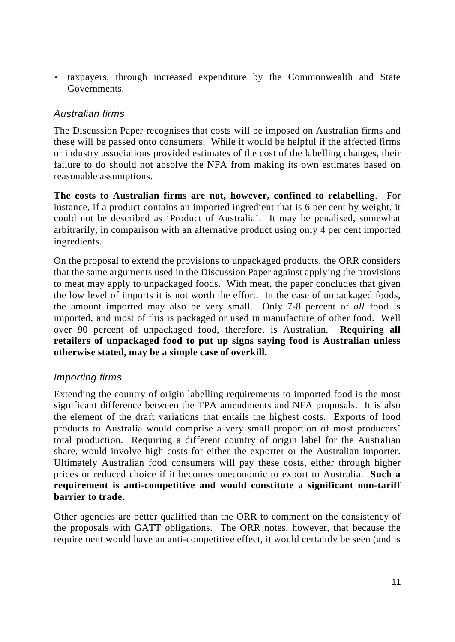• taxpayers, through increased expenditure by the Commonwealth and State Governments.

# *Australian firms*

The Discussion Paper recognises that costs will be imposed on Australian firms and these will be passed onto consumers. While it would be helpful if the affected firms or industry associations provided estimates of the cost of the labelling changes, their failure to do should not absolve the NFA from making its own estimates based on reasonable assumptions.

**The costs to Australian firms are not, however, confined to relabelling**. For instance, if a product contains an imported ingredient that is 6 per cent by weight, it could not be described as 'Product of Australia'. It may be penalised, somewhat arbitrarily, in comparison with an alternative product using only 4 per cent imported ingredients.

On the proposal to extend the provisions to unpackaged products, the ORR considers that the same arguments used in the Discussion Paper against applying the provisions to meat may apply to unpackaged foods. With meat, the paper concludes that given the low level of imports it is not worth the effort. In the case of unpackaged foods, the amount imported may also be very small. Only 7-8 percent of *all* food is imported, and most of this is packaged or used in manufacture of other food. Well over 90 percent of unpackaged food, therefore, is Australian. **Requiring all retailers of unpackaged food to put up signs saying food is Australian unless otherwise stated, may be a simple case of overkill.**

# *Importing firms*

Extending the country of origin labelling requirements to imported food is the most significant difference between the TPA amendments and NFA proposals. It is also the element of the draft variations that entails the highest costs. Exports of food products to Australia would comprise a very small proportion of most producers' total production. Requiring a different country of origin label for the Australian share, would involve high costs for either the exporter or the Australian importer. Ultimately Australian food consumers will pay these costs, either through higher prices or reduced choice if it becomes uneconomic to export to Australia. **Such a requirement is anti-competitive and would constitute a significant non-tariff barrier to trade.**

Other agencies are better qualified than the ORR to comment on the consistency of the proposals with GATT obligations. The ORR notes, however, that because the requirement would have an anti-competitive effect, it would certainly be seen (and is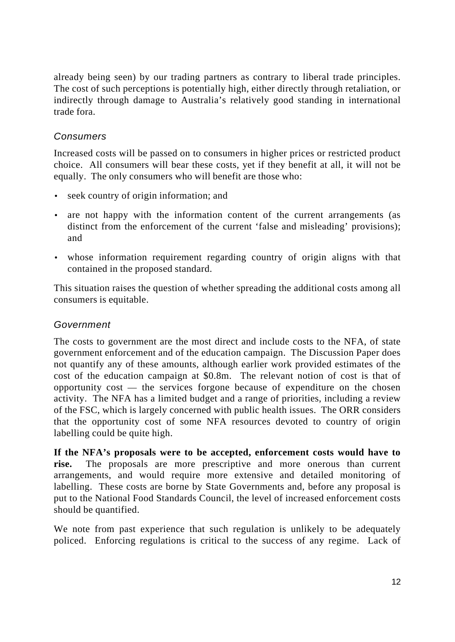already being seen) by our trading partners as contrary to liberal trade principles. The cost of such perceptions is potentially high, either directly through retaliation, or indirectly through damage to Australia's relatively good standing in international trade fora.

# *Consumers*

Increased costs will be passed on to consumers in higher prices or restricted product choice. All consumers will bear these costs, yet if they benefit at all, it will not be equally. The only consumers who will benefit are those who:

- seek country of origin information; and
- are not happy with the information content of the current arrangements (as distinct from the enforcement of the current 'false and misleading' provisions); and
- whose information requirement regarding country of origin aligns with that contained in the proposed standard.

This situation raises the question of whether spreading the additional costs among all consumers is equitable.

### *Government*

The costs to government are the most direct and include costs to the NFA, of state government enforcement and of the education campaign. The Discussion Paper does not quantify any of these amounts, although earlier work provided estimates of the cost of the education campaign at \$0.8m. The relevant notion of cost is that of opportunity cost — the services forgone because of expenditure on the chosen activity. The NFA has a limited budget and a range of priorities, including a review of the FSC, which is largely concerned with public health issues. The ORR considers that the opportunity cost of some NFA resources devoted to country of origin labelling could be quite high.

**If the NFA's proposals were to be accepted, enforcement costs would have to rise.** The proposals are more prescriptive and more onerous than current arrangements, and would require more extensive and detailed monitoring of labelling. These costs are borne by State Governments and, before any proposal is put to the National Food Standards Council, the level of increased enforcement costs should be quantified.

We note from past experience that such regulation is unlikely to be adequately policed. Enforcing regulations is critical to the success of any regime. Lack of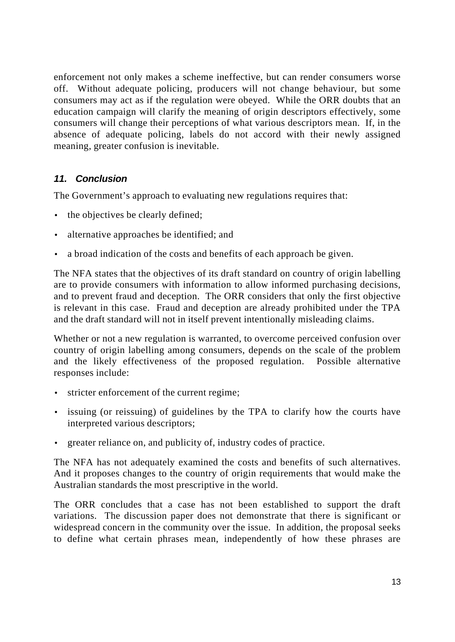enforcement not only makes a scheme ineffective, but can render consumers worse off. Without adequate policing, producers will not change behaviour, but some consumers may act as if the regulation were obeyed. While the ORR doubts that an education campaign will clarify the meaning of origin descriptors effectively, some consumers will change their perceptions of what various descriptors mean. If, in the absence of adequate policing, labels do not accord with their newly assigned meaning, greater confusion is inevitable.

### *11. Conclusion*

The Government's approach to evaluating new regulations requires that:

- the objectives be clearly defined;
- alternative approaches be identified; and
- a broad indication of the costs and benefits of each approach be given.

The NFA states that the objectives of its draft standard on country of origin labelling are to provide consumers with information to allow informed purchasing decisions, and to prevent fraud and deception. The ORR considers that only the first objective is relevant in this case. Fraud and deception are already prohibited under the TPA and the draft standard will not in itself prevent intentionally misleading claims.

Whether or not a new regulation is warranted, to overcome perceived confusion over country of origin labelling among consumers, depends on the scale of the problem and the likely effectiveness of the proposed regulation. Possible alternative responses include:

- stricter enforcement of the current regime;
- issuing (or reissuing) of guidelines by the TPA to clarify how the courts have interpreted various descriptors;
- greater reliance on, and publicity of, industry codes of practice.

The NFA has not adequately examined the costs and benefits of such alternatives. And it proposes changes to the country of origin requirements that would make the Australian standards the most prescriptive in the world.

The ORR concludes that a case has not been established to support the draft variations. The discussion paper does not demonstrate that there is significant or widespread concern in the community over the issue. In addition, the proposal seeks to define what certain phrases mean, independently of how these phrases are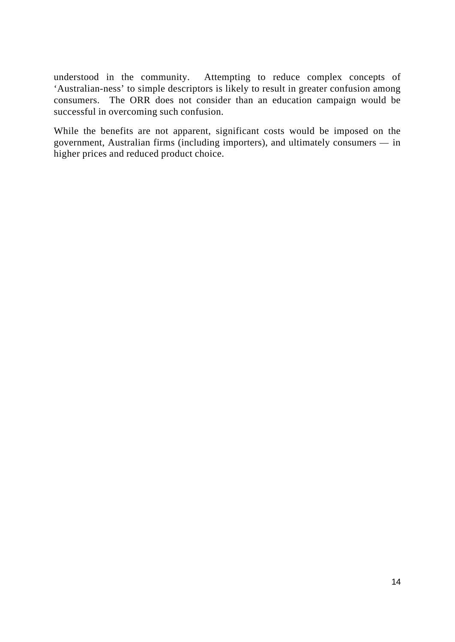understood in the community. Attempting to reduce complex concepts of 'Australian-ness' to simple descriptors is likely to result in greater confusion among consumers. The ORR does not consider than an education campaign would be successful in overcoming such confusion.

While the benefits are not apparent, significant costs would be imposed on the government, Australian firms (including importers), and ultimately consumers — in higher prices and reduced product choice.